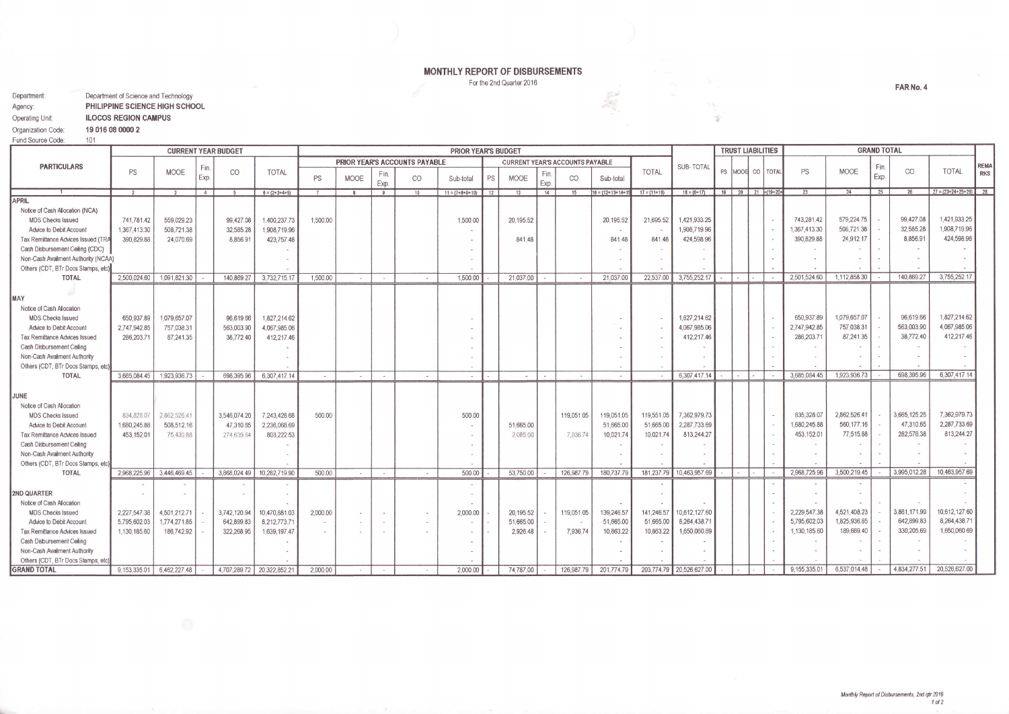## MONTHLY REPORT OF DISBURSEMENTS

For the 2nd Quarter 2016

| Department:        | Department of Science and Technology |  |  |  |  |  |  |  |
|--------------------|--------------------------------------|--|--|--|--|--|--|--|
| Agency:            | PHILIPPINE SCIENCE HIGH SCHOOL       |  |  |  |  |  |  |  |
| Operating Unit:    | <b>ILOCOS REGION CAMPUS</b>          |  |  |  |  |  |  |  |
| Organization Code: | 19 016 08 0000 2                     |  |  |  |  |  |  |  |
| Fund Source Code:  | 101                                  |  |  |  |  |  |  |  |

|                                      |                | <b>CURRENT YEAR BUDGET</b> |                      |              |                            | <b>PRIOR YEAR'S BUDGET</b> |              |              |                               |                   |    | <b>TRUST LIABILITIES</b>               |             |                | <b>GRAND TOTAL</b>   |                |                          |                          |  |  |              |              |              |              |                            |             |
|--------------------------------------|----------------|----------------------------|----------------------|--------------|----------------------------|----------------------------|--------------|--------------|-------------------------------|-------------------|----|----------------------------------------|-------------|----------------|----------------------|----------------|--------------------------|--------------------------|--|--|--------------|--------------|--------------|--------------|----------------------------|-------------|
| <b>PARTICULARS</b>                   |                |                            |                      |              |                            |                            |              |              | PRIOR YEAR'S ACCOUNTS PAYABLE |                   |    | <b>CURRENT YEAR'S ACCOUNTS PAYABLE</b> |             |                |                      |                | <b>SUB-TOTAL</b>         |                          |  |  |              |              |              |              |                            | <b>REMA</b> |
|                                      | PS             | <b>MOOE</b>                | $\nvdash$ in<br>Exp. | CO           | <b>TOTAL</b>               | PS                         | MOOE         | Fin.<br>Exp. | CO                            | Sub-total         | PS | <b>MOOE</b>                            | Fin<br>Exp. | CO             | Sub-total            | <b>TOTAL</b>   |                          | PS MOOR CO   TOTAL       |  |  | PS           | <b>MOOE</b>  | Fin.<br>Exp. | CO           | <b>TOTAL</b>               | <b>RKS</b>  |
|                                      | $\overline{2}$ |                            | 4                    |              | $6 = (2+3+4+5)$            |                            | $\mathbf{R}$ | 9            | 10                            | $11 = (7+8+9+10)$ | 12 | 13                                     | 14          | 15             | $16 = (12+13+14+15)$ | $17 = (11+16)$ | $18 = (6 + 17)$          | $19$ 20 $21$ = $(19+20+$ |  |  | 23           | 24           | 25           | 26           | $27 = (23 + 24 + 25 + 26)$ |             |
| APRIL                                |                |                            |                      |              |                            |                            |              |              |                               |                   |    |                                        |             |                |                      |                |                          |                          |  |  |              |              |              |              |                            |             |
| Notice of Cash Allocation (NCA)      |                |                            |                      |              |                            |                            |              |              |                               |                   |    |                                        |             |                |                      |                |                          |                          |  |  |              |              |              |              |                            |             |
| <b>MDS Checks Issued</b>             | 741,781.42     | 559,029,23                 |                      | 99,427.08    | 1,400,237.73               | 1,500.00                   |              |              |                               | 1,500.00          |    | 20,195.52                              |             |                | 20,195.52            | 21,695.52      | 1,421,933.25             |                          |  |  | 743,281.42   | 579,224.75   |              | 99,427.08    | 1,421,933.25               |             |
| Advice to Debit Account              | 1,367,413.30   | 508,721.38                 |                      | 32,585.28    | 1,908,719.96               |                            |              |              |                               |                   |    |                                        |             |                |                      |                | 1,908,719.96             |                          |  |  | 1,367,413.30 | 508,721.38   |              | 32,585.28    | 1,908,719.96               |             |
| Tax Remittance Advices Issued (TRA   | 390,829.88     | 24,070.69                  |                      | 8,856.91     | 423,757.48                 |                            |              |              |                               |                   |    | 841.48                                 |             |                | 841.48               | 841.48         | 424,598.96               |                          |  |  | 390,829.88   | 24,912.17    |              | 8,856.91     | 424,598.96                 |             |
| Cash Disbursement Celling (CDC)      |                |                            |                      |              |                            |                            |              |              |                               |                   |    |                                        |             |                |                      |                |                          |                          |  |  |              |              |              |              |                            |             |
| Non-Cash Availment Authority (NCAA)  |                |                            |                      |              |                            |                            |              |              |                               |                   |    |                                        |             |                |                      |                |                          |                          |  |  |              |              |              |              |                            |             |
| Others (CDT, BTr Docs Stamps, etc)   |                |                            |                      |              |                            |                            |              |              |                               |                   |    |                                        |             |                |                      |                |                          |                          |  |  |              |              |              |              |                            |             |
| <b>TOTAL</b>                         | 2,500,024.60   | 1,091,821.30               |                      | 140,869.27   | 3,732,715.17               | 1,500.00                   | $\sim$       | $\sim$       | $\sim$                        | 1,500.00          |    | 21,037.00                              |             |                | 21,037.00            | 22,537.00      | 3,755,252.17             | $\sim$                   |  |  | 2.501.524.60 | 1,112,858.30 |              | 140,869.27   | 3,755,252.17               |             |
| MAY                                  |                |                            |                      |              |                            |                            |              |              |                               |                   |    |                                        |             |                |                      |                |                          |                          |  |  |              |              |              |              |                            |             |
| Notice of Cash Allocation            |                |                            |                      |              |                            |                            |              |              |                               |                   |    |                                        |             |                |                      |                |                          |                          |  |  |              |              |              |              |                            |             |
| <b>MDS Checks Issued</b>             | 650.937.89     | 1,079,657.07               |                      | 96,619.66    | 1,827,214.62               |                            |              |              |                               |                   |    |                                        |             |                |                      |                | 1,827,214.62             |                          |  |  | 650.937.89   | 1,079,657.07 |              | 96,619.66    | 1,827,214.62               |             |
| Advice to Debit Account              | 2.747.942.85   | 757,038.31                 |                      | 563,003.90   | 4,067,985.06               |                            |              |              |                               |                   |    |                                        |             |                |                      |                | 4,067,985.06             |                          |  |  | 2,747,942.85 | 757,038.31   |              | 563,003.90   | 4,067,985.06               |             |
| <b>Tax Remittance Advices Issued</b> | 286,203.71     | 87,241.35                  |                      | 38,772.40    | 412,217.46                 |                            |              |              |                               |                   |    |                                        |             |                |                      |                | 412,217.46               |                          |  |  | 286,203.71   | 87,241.35    |              | 38,772.40    | 412,217.46                 |             |
| Cash Disbursement Celling            |                |                            |                      |              |                            |                            |              |              |                               |                   |    |                                        |             |                |                      |                |                          |                          |  |  |              |              |              |              |                            |             |
| Non-Cash Availment Authority         |                |                            |                      |              |                            |                            |              |              |                               |                   |    |                                        |             |                |                      |                |                          |                          |  |  |              |              |              |              |                            |             |
| Others (CDT, BTr Docs Stamps, etc    |                |                            |                      |              |                            |                            |              |              |                               |                   |    |                                        |             |                |                      |                |                          |                          |  |  |              |              |              |              |                            |             |
| <b>TOTAL</b>                         | 3,685,084.45   | 1,923,936.73               |                      | 698,395.96   | 6,307,417.14               | $\sim 1$                   | $\sim$       | $\sim$       | <b>CONTRACTOR</b>             | $\sim$            |    | $\sim$                                 |             | <b>College</b> | $\sim$               |                | 6,307,417.14             |                          |  |  | 3,685,084.45 | 1,923,936.73 |              | 698,395.96   | 6,307,417.14               |             |
|                                      |                |                            |                      |              |                            |                            |              |              |                               |                   |    |                                        |             |                |                      |                |                          |                          |  |  |              |              |              |              |                            |             |
| JUNE                                 |                |                            |                      |              |                            |                            |              |              |                               |                   |    |                                        |             |                |                      |                |                          |                          |  |  |              |              |              |              |                            |             |
| Notice of Cash Allocation            |                |                            |                      |              |                            |                            |              |              |                               |                   |    |                                        |             |                |                      |                |                          |                          |  |  |              |              |              |              |                            |             |
| <b>MDS Checks Issued</b>             | 834,828.07     | 2,862,526.41               |                      | 3,546,074.20 | 7,243,428.68               | 500.00                     |              |              |                               | 500.00            |    |                                        |             | 119,051.05     | 119,051.05           | 119,551.05     | 7,362,979.73             |                          |  |  | 835,328.07   | 2,862,526.41 |              | 3,665,125.25 | 7,362,979.73               |             |
| Advice to Debit Account              | 1,680,245.88   | 508,512.16                 |                      | 47,310.65    | 2,236,068.69               |                            |              |              |                               |                   |    | 51,665.00                              |             |                | 51,665.00            | 51,665.00      | 2,287,733.69             |                          |  |  | 1,680,245.88 | 560,177.16   |              | 47,310.65    | 2,287,733.69               |             |
| <b>Tax Remittance Advices Issued</b> | 453,152.01     | 75.430.88                  |                      | 274.639.64   | 803,222.53                 |                            |              |              |                               |                   |    | 2,085.00                               |             | 7,936.74       | 10,021.74            | 10,021.74      | 813,244.27               |                          |  |  | 453,152.01   | 77,515.88    |              | 282,576.38   | 813,244.27                 |             |
| Cash Disbursement Ceiling            |                |                            |                      |              |                            |                            |              |              |                               |                   |    |                                        |             |                |                      |                |                          |                          |  |  |              |              |              |              |                            |             |
| Non-Cash Availment Authority         |                |                            |                      |              |                            |                            |              |              |                               |                   |    |                                        |             |                |                      |                |                          |                          |  |  |              |              |              |              |                            |             |
| Others (CDT, BTr Docs Stamps, etc.   |                |                            |                      |              |                            |                            |              |              |                               |                   |    |                                        |             |                |                      |                |                          |                          |  |  |              |              |              |              |                            |             |
| <b>TOTAL</b>                         | 2.968.225.96   | 3.446.469.45               |                      |              | 3,868,024.49 10,282,719.90 | 500.00                     | $\sim$       | $\sim$       | $\sim$                        | 500.00            |    | 53,750.00                              |             | 126,987.79     | 180,737.79           | 181,237.79     | 10,463,957.69            |                          |  |  | 2,968,725.96 | 3,500,219.45 |              | 3,995,012.28 | 10,463,957.69              |             |
|                                      |                |                            |                      |              |                            |                            |              |              |                               |                   |    |                                        |             |                |                      |                |                          |                          |  |  |              |              |              |              |                            |             |
| 2ND QUARTER                          |                |                            |                      |              |                            |                            |              |              |                               |                   |    |                                        |             |                |                      |                |                          |                          |  |  |              |              |              |              |                            |             |
| Notice of Cash Allocation            |                |                            |                      |              |                            |                            |              |              |                               |                   |    |                                        |             |                |                      |                |                          |                          |  |  |              |              |              |              |                            |             |
| <b>MDS Checks Issued</b>             | 2.227.547.38   | 4,501,212.71               |                      | 3,742,120.94 | 10,470,881.03              | 2,000.00                   |              |              |                               | 2,000.00          |    | 20,195.52                              |             | 119,051.05     | 139,246.57           | 141.246.57     | 10,612,127.60            |                          |  |  | 2,229,547.38 | 4,521,408.23 |              | 3,861,171.99 | 10,612,127.60              |             |
| Advice to Debit Account              | 5,795,602.03   | 1,774,271.85               |                      | 642,899.83   | 8,212,773.71               |                            |              |              |                               |                   |    | 51,665.00                              |             |                | 51,665.00            | 51,665,00      | 8,264,438.7              |                          |  |  | 5,795,602.03 | 1,825,936.85 |              | 642,899.83   | 8,264,438.7                |             |
| <b>Tax Remittance Advices Issued</b> | 1.130.185.60   | 186,742.92                 |                      | 322.268.95   | 1,639,197.47               |                            |              |              |                               |                   |    | 2.926.48                               |             | 7,936.74       | 10,863.22            | 10,863.22      | 1,650,060.69             |                          |  |  | 1,130,185.60 | 189,669.40   |              | 330,205.69   | 1,650,060.69               |             |
| Cash Disbursement Celling            |                |                            |                      |              |                            |                            |              |              |                               |                   |    |                                        |             |                |                      |                |                          |                          |  |  |              |              |              |              |                            |             |
| Non-Cash Availment Authority         |                |                            |                      |              |                            |                            |              |              |                               |                   |    |                                        |             |                |                      |                |                          |                          |  |  |              |              |              |              |                            |             |
| Others (CDT, BTr Docs Stamps, etc)   |                |                            |                      |              |                            |                            |              |              |                               |                   |    |                                        |             |                |                      |                |                          |                          |  |  |              |              |              |              |                            |             |
| <b>GRAND TOTAL</b>                   | 9,153,335.01   | 6,462,227.48               |                      |              | 4.707.289.72 20.322.852.21 | 2,000.00                   |              |              |                               | 2,000.00          |    | 74,787.00                              |             | 126,987.79     | 201,774.79           |                | 203,774.79 20,526,627.00 |                          |  |  | 9,155,335.01 | 6,537,014.48 |              | 4.834.277.51 | 20,526,627.00              |             |

FAR No. 4